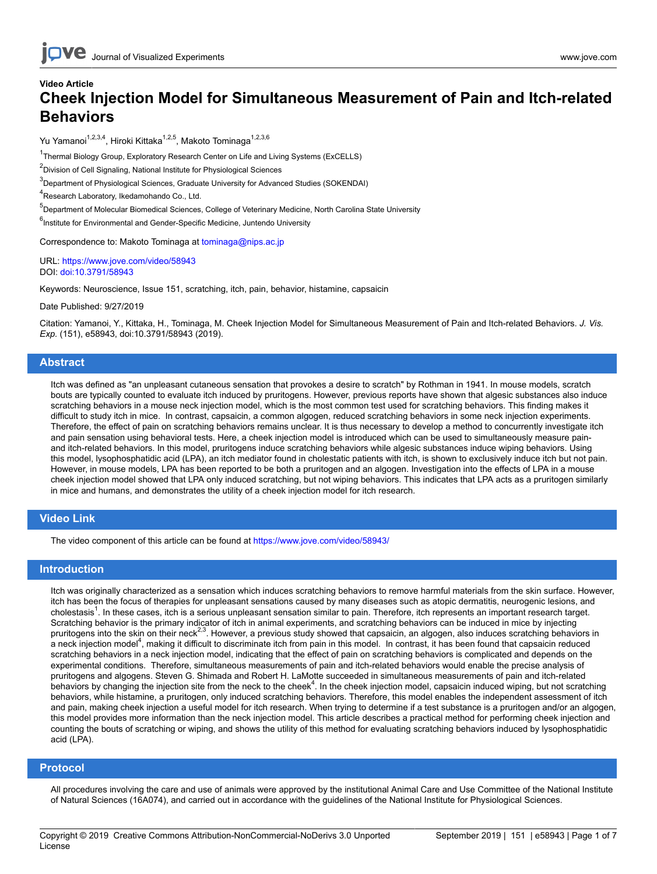# **Video Article Cheek Injection Model for Simultaneous Measurement of Pain and Itch-related Behaviors**

Yu Yamanoi<sup>1,2,3,4</sup>, Hiroki Kittaka<sup>1,2,5</sup>, Makoto Tominaga<sup>1,2,3,6</sup>

<sup>1</sup>Thermal Biology Group, Exploratory Research Center on Life and Living Systems (ExCELLS)

<sup>2</sup>Division of Cell Signaling, National Institute for Physiological Sciences

<sup>3</sup>Department of Physiological Sciences, Graduate University for Advanced Studies (SOKENDAI)

4 Research Laboratory, Ikedamohando Co., Ltd.

5 Department of Molecular Biomedical Sciences, College of Veterinary Medicine, North Carolina State University

<sup>6</sup>Institute for Environmental and Gender-Specific Medicine, Juntendo University

Correspondence to: Makoto Tominaga at [tominaga@nips.ac.jp](mailto:tominaga@nips.ac.jp)

URL:<https://www.jove.com/video/58943> DOI: [doi:10.3791/58943](http://dx.doi.org/10.3791/58943)

Keywords: Neuroscience, Issue 151, scratching, itch, pain, behavior, histamine, capsaicin

Date Published: 9/27/2019

Citation: Yamanoi, Y., Kittaka, H., Tominaga, M. Cheek Injection Model for Simultaneous Measurement of Pain and Itch-related Behaviors. *J. Vis. Exp.* (151), e58943, doi:10.3791/58943 (2019).

### **Abstract**

Itch was defined as "an unpleasant cutaneous sensation that provokes a desire to scratch" by Rothman in 1941. In mouse models, scratch bouts are typically counted to evaluate itch induced by pruritogens. However, previous reports have shown that algesic substances also induce scratching behaviors in a mouse neck injection model, which is the most common test used for scratching behaviors. This finding makes it difficult to study itch in mice. In contrast, capsaicin, a common algogen, reduced scratching behaviors in some neck injection experiments. Therefore, the effect of pain on scratching behaviors remains unclear. It is thus necessary to develop a method to concurrently investigate itch and pain sensation using behavioral tests. Here, a cheek injection model is introduced which can be used to simultaneously measure painand itch-related behaviors. In this model, pruritogens induce scratching behaviors while algesic substances induce wiping behaviors. Using this model, lysophosphatidic acid (LPA), an itch mediator found in cholestatic patients with itch, is shown to exclusively induce itch but not pain. However, in mouse models, LPA has been reported to be both a pruritogen and an algogen. Investigation into the effects of LPA in a mouse cheek injection model showed that LPA only induced scratching, but not wiping behaviors. This indicates that LPA acts as a pruritogen similarly in mice and humans, and demonstrates the utility of a cheek injection model for itch research.

#### **Video Link**

The video component of this article can be found at <https://www.jove.com/video/58943/>

#### **Introduction**

Itch was originally characterized as a sensation which induces scratching behaviors to remove harmful materials from the skin surface. However, itch has been the focus of therapies for unpleasant sensations caused by many diseases such as atopic dermatitis, neurogenic lesions, and cholestasis<sup>1</sup>. In these cases, itch is a serious unpleasant sensation similar to pain. Therefore, itch represents an important research target. Scratching behavior is the primary indicator of itch in animal experiments, and scratching behaviors can be induced in mice by injecting pruritogens into the skin on their neck<sup>2,3</sup>. However, a previous study showed that capsaicin, an algogen, also induces scratching behaviors in a neck injection model<sup>4</sup>, making it difficult to discriminate itch from pain in this model. In contrast, it has been found that capsaicin reduced scratching behaviors in a neck injection model, indicating that the effect of pain on scratching behaviors is complicated and depends on the experimental conditions. Therefore, simultaneous measurements of pain and itch-related behaviors would enable the precise analysis of pruritogens and algogens. Steven G. Shimada and Robert H. LaMotte succeeded in simultaneous measurements of pain and itch-related behaviors by changing the injection site from the neck to the cheek<sup>4</sup>. In the cheek injection model, capsaicin induced wiping, but not scratching behaviors, while histamine, a pruritogen, only induced scratching behaviors. Therefore, this model enables the independent assessment of itch and pain, making cheek injection a useful model for itch research. When trying to determine if a test substance is a pruritogen and/or an algogen, this model provides more information than the neck injection model. This article describes a practical method for performing cheek injection and counting the bouts of scratching or wiping, and shows the utility of this method for evaluating scratching behaviors induced by lysophosphatidic acid (LPA).

## **Protocol**

All procedures involving the care and use of animals were approved by the institutional Animal Care and Use Committee of the National Institute of Natural Sciences (16A074), and carried out in accordance with the guidelines of the National Institute for Physiological Sciences.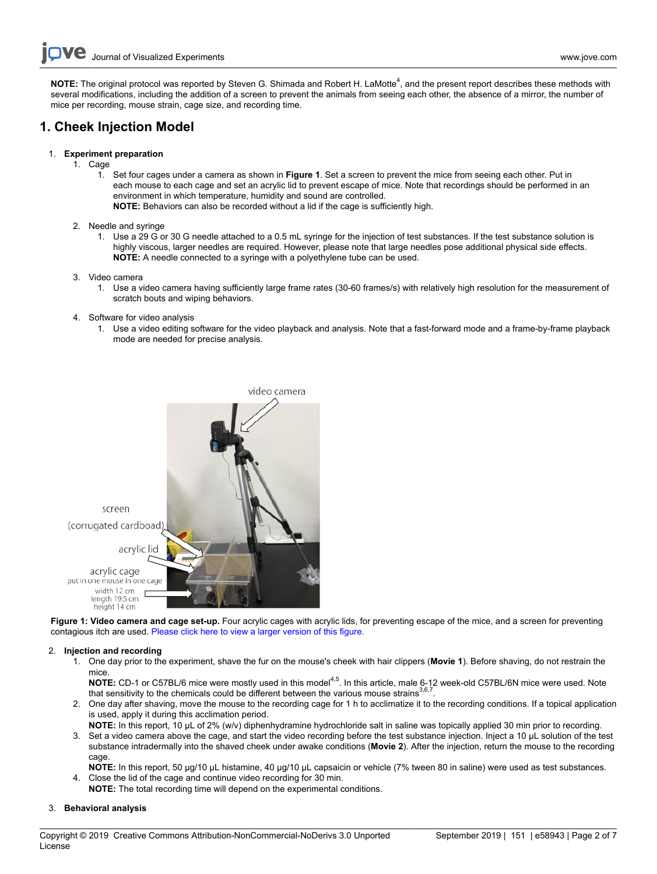NOTE: The original protocol was reported by Steven G. Shimada and Robert H. LaMotte<sup>4</sup>, and the present report describes these methods with several modifications, including the addition of a screen to prevent the animals from seeing each other, the absence of a mirror, the number of mice per recording, mouse strain, cage size, and recording time.

## **1. Cheek Injection Model**

#### 1. **Experiment preparation**

- 1. Cage
	- 1. Set four cages under a camera as shown in **Figure 1**. Set a screen to prevent the mice from seeing each other. Put in each mouse to each cage and set an acrylic lid to prevent escape of mice. Note that recordings should be performed in an environment in which temperature, humidity and sound are controlled. **NOTE:** Behaviors can also be recorded without a lid if the cage is sufficiently high.
- 2. Needle and syringe
	- 1. Use a 29 G or 30 G needle attached to a 0.5 mL syringe for the injection of test substances. If the test substance solution is highly viscous, larger needles are required. However, please note that large needles pose additional physical side effects. **NOTE:** A needle connected to a syringe with a polyethylene tube can be used.
- 3. Video camera
	- 1. Use a video camera having sufficiently large frame rates (30-60 frames/s) with relatively high resolution for the measurement of scratch bouts and wiping behaviors.
- 4. Software for video analysis
	- 1. Use a video editing software for the video playback and analysis. Note that a fast-forward mode and a frame-by-frame playback mode are needed for precise analysis.



**Figure 1: Video camera and cage set-up.** Four acrylic cages with acrylic lids, for preventing escape of the mice, and a screen for preventing contagious itch are used. [Please click here to view a larger version of this figure.](https://www.jove.com/files/ftp_upload/58943/58943fig1large.jpg)

#### 2. **Injection and recording**

1. One day prior to the experiment, shave the fur on the mouse's cheek with hair clippers (**Movie 1**). Before shaving, do not restrain the mice.

**NOTE:** CD-1 or C57BL/6 mice were mostly used in this model<sup>4,5</sup>. In this article, male 6-12 week-old C57BL/6N mice were used. Note that sensitivity to the chemicals could be different between the various mouse strains<sup>3,6,7</sup>.

- 2. One day after shaving, move the mouse to the recording cage for 1 h to acclimatize it to the recording conditions. If a topical application is used, apply it during this acclimation period.
- **NOTE:** In this report, 10 μL of 2% (w/v) diphenhydramine hydrochloride salt in saline was topically applied 30 min prior to recording.
- 3. Set a video camera above the cage, and start the video recording before the test substance injection. Inject a 10 μL solution of the test substance intradermally into the shaved cheek under awake conditions (**Movie 2**). After the injection, return the mouse to the recording cage.
- **NOTE:** In this report, 50 μg/10 μL histamine, 40 μg/10 μL capsaicin or vehicle (7% tween 80 in saline) were used as test substances. 4. Close the lid of the cage and continue video recording for 30 min.
- **NOTE:** The total recording time will depend on the experimental conditions.

#### 3. **Behavioral analysis**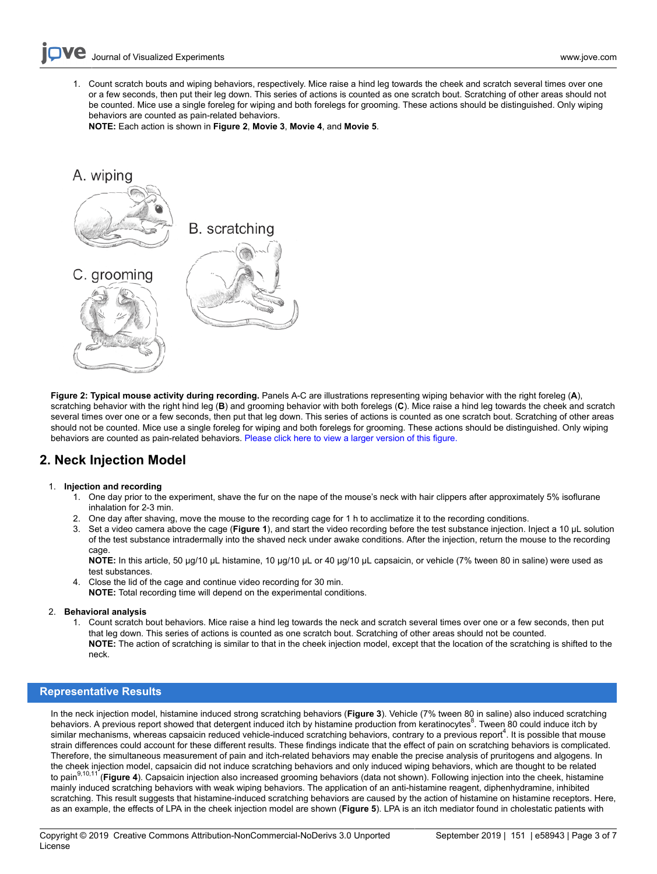1. Count scratch bouts and wiping behaviors, respectively. Mice raise a hind leg towards the cheek and scratch several times over one or a few seconds, then put their leg down. This series of actions is counted as one scratch bout. Scratching of other areas should not be counted. Mice use a single foreleg for wiping and both forelegs for grooming. These actions should be distinguished. Only wiping behaviors are counted as pain-related behaviors.

**NOTE:** Each action is shown in **Figure 2**, **Movie 3**, **Movie 4**, and **Movie 5**.



**Figure 2: Typical mouse activity during recording.** Panels A-C are illustrations representing wiping behavior with the right foreleg (**A**), scratching behavior with the right hind leg (**B**) and grooming behavior with both forelegs (**C**). Mice raise a hind leg towards the cheek and scratch several times over one or a few seconds, then put that leg down. This series of actions is counted as one scratch bout. Scratching of other areas should not be counted. Mice use a single foreleg for wiping and both forelegs for grooming. These actions should be distinguished. Only wiping behaviors are counted as pain-related behaviors. [Please click here to view a larger version of this figure.](https://www.jove.com/files/ftp_upload/58943/58943fig2large.jpg)

## **2. Neck Injection Model**

#### 1. **Injection and recording**

- 1. One day prior to the experiment, shave the fur on the nape of the mouse's neck with hair clippers after approximately 5% isoflurane inhalation for 2-3 min.
- 2. One day after shaving, move the mouse to the recording cage for 1 h to acclimatize it to the recording conditions.
- 3. Set a video camera above the cage (**Figure 1**), and start the video recording before the test substance injection. Inject a 10 μL solution of the test substance intradermally into the shaved neck under awake conditions. After the injection, return the mouse to the recording cage.

**NOTE:** In this article, 50 μg/10 μL histamine, 10 μg/10 μL or 40 μg/10 μL capsaicin, or vehicle (7% tween 80 in saline) were used as test substances.

- 4. Close the lid of the cage and continue video recording for 30 min. **NOTE:** Total recording time will depend on the experimental conditions.
- 2. **Behavioral analysis**
	- 1. Count scratch bout behaviors. Mice raise a hind leg towards the neck and scratch several times over one or a few seconds, then put that leg down. This series of actions is counted as one scratch bout. Scratching of other areas should not be counted. **NOTE:** The action of scratching is similar to that in the cheek injection model, except that the location of the scratching is shifted to the neck.

## **Representative Results**

In the neck injection model, histamine induced strong scratching behaviors (**Figure 3**). Vehicle (7% tween 80 in saline) also induced scratching behaviors. A previous report showed that detergent induced itch by histamine production from keratinocytes<sup>8</sup>. Tween 80 could induce itch by similar mechanisms, whereas capsaicin reduced vehicle-induced scratching behaviors, contrary to a previous report<sup>4</sup>. It is possible that mouse strain differences could account for these different results. These findings indicate that the effect of pain on scratching behaviors is complicated. Therefore, the simultaneous measurement of pain and itch-related behaviors may enable the precise analysis of pruritogens and algogens. In the cheek injection model, capsaicin did not induce scratching behaviors and only induced wiping behaviors, which are thought to be related<br>to pain<sup>9,10,11</sup> (Figure 4). Capsaicin injection also increased grooming behaviors (Figure 4). Capsaicin injection also increased grooming behaviors (data not shown). Following injection into the cheek, histamine mainly induced scratching behaviors with weak wiping behaviors. The application of an anti-histamine reagent, diphenhydramine, inhibited scratching. This result suggests that histamine-induced scratching behaviors are caused by the action of histamine on histamine receptors. Here, as an example, the effects of LPA in the cheek injection model are shown (**Figure 5**). LPA is an itch mediator found in cholestatic patients with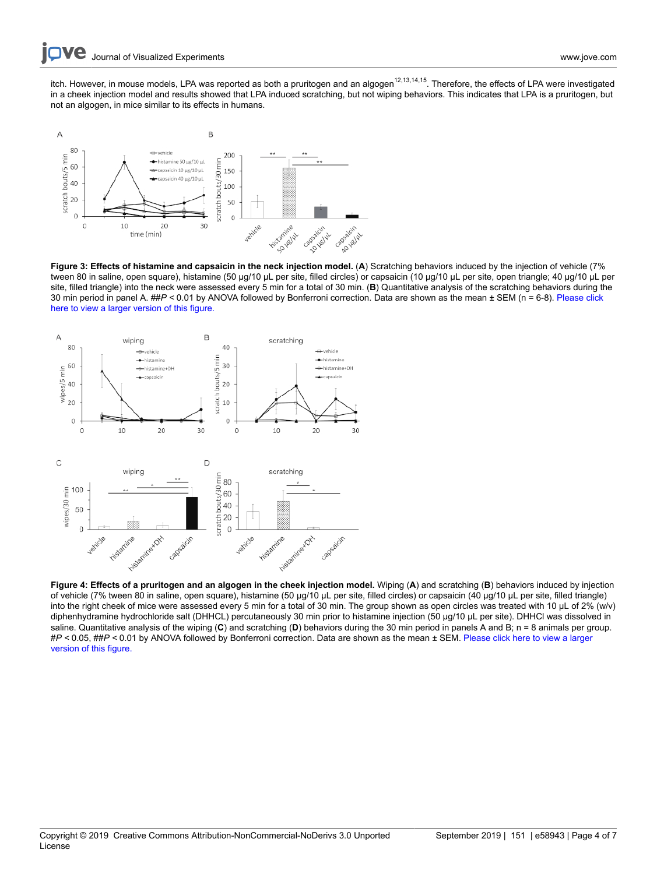itch. However, in mouse models, LPA was reported as both a pruritogen and an algogen<sup>12,13,14,15</sup>. Therefore, the effects of LPA were investigated in a cheek injection model and results showed that LPA induced scratching, but not wiping behaviors. This indicates that LPA is a pruritogen, but not an algogen, in mice similar to its effects in humans.



**Figure 3: Effects of histamine and capsaicin in the neck injection model.** (**A**) Scratching behaviors induced by the injection of vehicle (7% tween 80 in saline, open square), histamine (50 μg/10 μL per site, filled circles) or capsaicin (10 μg/10 μL per site, open triangle; 40 μg/10 μL per site, filled triangle) into the neck were assessed every 5 min for a total of 30 min. (**B**) Quantitative analysis of the scratching behaviors during the 30 min period in panel A. ##*P <* 0.01 by ANOVA followed by Bonferroni correction. Data are shown as the mean ± SEM (n = 6-8). [Please click](https://www.jove.com/files/ftp_upload/58943/58943fig3large.jpg) [here to view a larger version of this figure.](https://www.jove.com/files/ftp_upload/58943/58943fig3large.jpg)



**Figure 4: Effects of a pruritogen and an algogen in the cheek injection model.** Wiping (**A**) and scratching (**B**) behaviors induced by injection of vehicle (7% tween 80 in saline, open square), histamine (50 μg/10 μL per site, filled circles) or capsaicin (40 μg/10 μL per site, filled triangle) into the right cheek of mice were assessed every 5 min for a total of 30 min. The group shown as open circles was treated with 10 μL of 2% (w/v) diphenhydramine hydrochloride salt (DHHCL) percutaneously 30 min prior to histamine injection (50 μg/10 μL per site). DHHCl was dissolved in saline. Quantitative analysis of the wiping (**C**) and scratching (**D**) behaviors during the 30 min period in panels A and B; n = 8 animals per group. #*P <* 0.05, ##*P <* 0.01 by ANOVA followed by Bonferroni correction. Data are shown as the mean ± SEM. [Please click here to view a larger](https://www.jove.com/files/ftp_upload/58943/58943fig4large.jpg) [version of this figure.](https://www.jove.com/files/ftp_upload/58943/58943fig4large.jpg)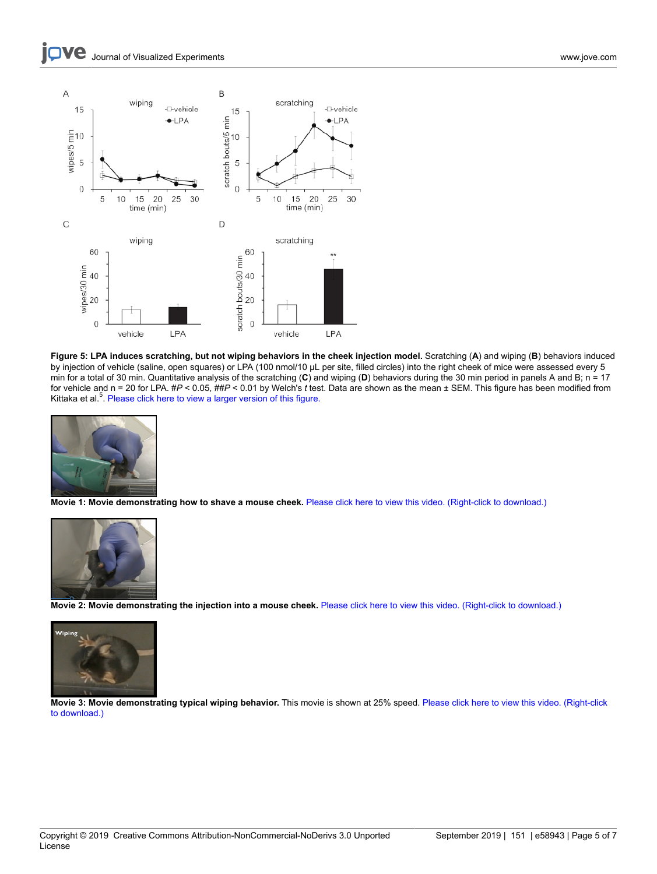

Figure 5: LPA induces scratching, but not wiping behaviors in the cheek injection model. Scratching (A) and wiping (B) behaviors induced by injection of vehicle (saline, open squares) or LPA (100 nmol/10 μL per site, filled circles) into the right cheek of mice were assessed every 5 min for a total of 30 min. Quantitative analysis of the scratching (**C**) and wiping (**D**) behaviors during the 30 min period in panels A and B; n = 17 for vehicle and n = 20 for LPA. #*P* < 0.05, ##*P* < 0.01 by Welch's *t* test. Data are shown as the mean ± SEM. This figure has been modified from Kittaka et al.<sup>5</sup>. [Please click here to view a larger version of this figure.](https://www.jove.com/files/ftp_upload/58943/58943fig5large.jpg)



**Movie 1: Movie demonstrating how to shave a mouse cheek.** [Please click here to view this video. \(Right-click to download.\)](https://www.jove.com/files/ftp_upload/58943/Yamanoi_re-Rev._Movie_1.mp4)



**Movie 2: Movie demonstrating the injection into a mouse cheek.** [Please click here to view this video. \(Right-click to download.\)](https://www.jove.com/files/ftp_upload/58943/Yamanoi_re-Rev._Movie_2.mp4)



**Movie 3: Movie demonstrating typical wiping behavior.** This movie is shown at 25% speed. [Please click here to view this video. \(Right-click](https://www.jove.com/files/ftp_upload/58943/Yamanoi_re-Rev._Movie_3.mp4) [to download.\)](https://www.jove.com/files/ftp_upload/58943/Yamanoi_re-Rev._Movie_3.mp4)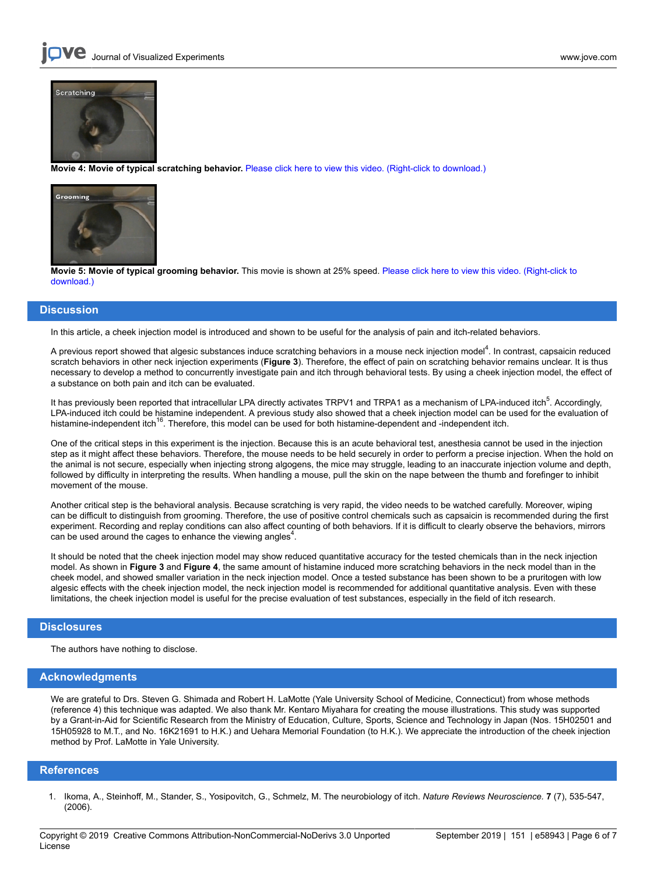

**Movie 4: Movie of typical scratching behavior.** [Please click here to view this video. \(Right-click to download.\)](https://www.jove.com/files/ftp_upload/58943/Yamanoi_re-Rev._Movie_4.mp4)



**Movie 5: Movie of typical grooming behavior.** This movie is shown at 25% speed. [Please click here to view this video. \(Right-click to](https://www.jove.com/files/ftp_upload/58943/Yamanoi_re-Rev._Movie_5.mp4) [download.\)](https://www.jove.com/files/ftp_upload/58943/Yamanoi_re-Rev._Movie_5.mp4)

#### **Discussion**

In this article, a cheek injection model is introduced and shown to be useful for the analysis of pain and itch-related behaviors.

A previous report showed that algesic substances induce scratching behaviors in a mouse neck injection model<sup>4</sup>. In contrast, capsaicin reduced scratch behaviors in other neck injection experiments (**Figure 3**). Therefore, the effect of pain on scratching behavior remains unclear. It is thus necessary to develop a method to concurrently investigate pain and itch through behavioral tests. By using a cheek injection model, the effect of a substance on both pain and itch can be evaluated.

It has previously been reported that intracellular LPA directly activates TRPV1 and TRPA1 as a mechanism of LPA-induced itch<sup>5</sup>. Accordingly, LPA-induced itch could be histamine independent. A previous study also showed that a cheek injection model can be used for the evaluation of histamine-independent itch<sup>16</sup>. Therefore, this model can be used for both histamine-dependent and -independent itch.

One of the critical steps in this experiment is the injection. Because this is an acute behavioral test, anesthesia cannot be used in the injection step as it might affect these behaviors. Therefore, the mouse needs to be held securely in order to perform a precise injection. When the hold on the animal is not secure, especially when injecting strong algogens, the mice may struggle, leading to an inaccurate injection volume and depth, followed by difficulty in interpreting the results. When handling a mouse, pull the skin on the nape between the thumb and forefinger to inhibit movement of the mouse.

Another critical step is the behavioral analysis. Because scratching is very rapid, the video needs to be watched carefully. Moreover, wiping can be difficult to distinguish from grooming. Therefore, the use of positive control chemicals such as capsaicin is recommended during the first experiment. Recording and replay conditions can also affect counting of both behaviors. If it is difficult to clearly observe the behaviors, mirrors can be used around the cages to enhance the viewing angles $4$ .

It should be noted that the cheek injection model may show reduced quantitative accuracy for the tested chemicals than in the neck injection model. As shown in **Figure 3** and **Figure 4**, the same amount of histamine induced more scratching behaviors in the neck model than in the cheek model, and showed smaller variation in the neck injection model. Once a tested substance has been shown to be a pruritogen with low algesic effects with the cheek injection model, the neck injection model is recommended for additional quantitative analysis. Even with these limitations, the cheek injection model is useful for the precise evaluation of test substances, especially in the field of itch research.

#### **Disclosures**

The authors have nothing to disclose.

#### **Acknowledgments**

We are grateful to Drs. Steven G. Shimada and Robert H. LaMotte (Yale University School of Medicine, Connecticut) from whose methods (reference 4) this technique was adapted. We also thank Mr. Kentaro Miyahara for creating the mouse illustrations. This study was supported by a Grant-in-Aid for Scientific Research from the Ministry of Education, Culture, Sports, Science and Technology in Japan (Nos. 15H02501 and 15H05928 to M.T., and No. 16K21691 to H.K.) and Uehara Memorial Foundation (to H.K.). We appreciate the introduction of the cheek injection method by Prof. LaMotte in Yale University.

### **References**

1. Ikoma, A., Steinhoff, M., Stander, S., Yosipovitch, G., Schmelz, M. The neurobiology of itch. *Nature Reviews Neuroscience.* **7** (7), 535-547, (2006).